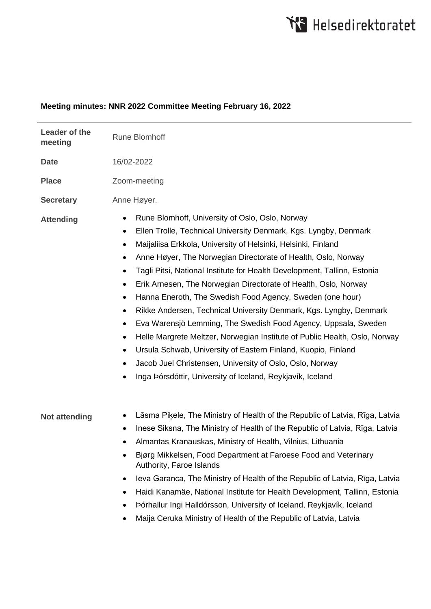## **Meeting minutes: NNR 2022 Committee Meeting February 16, 2022**

| Leader of the<br>meeting | <b>Rune Blomhoff</b>                                                                                                                                                                                                                                                                                                                                                                                                                                                                                                                                                                                                                                                                                                                                                                                                                                                                                                                                                                                        |
|--------------------------|-------------------------------------------------------------------------------------------------------------------------------------------------------------------------------------------------------------------------------------------------------------------------------------------------------------------------------------------------------------------------------------------------------------------------------------------------------------------------------------------------------------------------------------------------------------------------------------------------------------------------------------------------------------------------------------------------------------------------------------------------------------------------------------------------------------------------------------------------------------------------------------------------------------------------------------------------------------------------------------------------------------|
| <b>Date</b>              | 16/02-2022                                                                                                                                                                                                                                                                                                                                                                                                                                                                                                                                                                                                                                                                                                                                                                                                                                                                                                                                                                                                  |
| <b>Place</b>             | Zoom-meeting                                                                                                                                                                                                                                                                                                                                                                                                                                                                                                                                                                                                                                                                                                                                                                                                                                                                                                                                                                                                |
| <b>Secretary</b>         | Anne Høyer.                                                                                                                                                                                                                                                                                                                                                                                                                                                                                                                                                                                                                                                                                                                                                                                                                                                                                                                                                                                                 |
| <b>Attending</b>         | Rune Blomhoff, University of Oslo, Oslo, Norway<br>٠<br>Ellen Trolle, Technical University Denmark, Kgs. Lyngby, Denmark<br>$\bullet$<br>Maijaliisa Erkkola, University of Helsinki, Helsinki, Finland<br>٠<br>Anne Høyer, The Norwegian Directorate of Health, Oslo, Norway<br>$\bullet$<br>Tagli Pitsi, National Institute for Health Development, Tallinn, Estonia<br>$\bullet$<br>Erik Arnesen, The Norwegian Directorate of Health, Oslo, Norway<br>$\bullet$<br>Hanna Eneroth, The Swedish Food Agency, Sweden (one hour)<br>٠<br>Rikke Andersen, Technical University Denmark, Kgs. Lyngby, Denmark<br>٠<br>Eva Warensjö Lemming, The Swedish Food Agency, Uppsala, Sweden<br>٠<br>Helle Margrete Meltzer, Norwegian Institute of Public Health, Oslo, Norway<br>$\bullet$<br>Ursula Schwab, University of Eastern Finland, Kuopio, Finland<br>$\bullet$<br>Jacob Juel Christensen, University of Oslo, Oslo, Norway<br>$\bullet$<br>Inga Þórsdóttir, University of Iceland, Reykjavík, Iceland<br>٠ |
| Not attending            | Lāsma Piķele, The Ministry of Health of the Republic of Latvia, Rīga, Latvia<br>٠<br>Inese Siksna, The Ministry of Health of the Republic of Latvia, Rīga, Latvia<br>٠<br>Almantas Kranauskas, Ministry of Health, Vilnius, Lithuania<br>٠<br>Bjørg Mikkelsen, Food Department at Faroese Food and Veterinary<br>٠<br>Authority, Faroe Islands<br>leva Garanca, The Ministry of Health of the Republic of Latvia, Rīga, Latvia<br>٠<br>Haidi Kanamäe, National Institute for Health Development, Tallinn, Estonia<br>٠<br>Þórhallur Ingi Halldórsson, University of Iceland, Reykjavík, Iceland<br>Maija Ceruka Ministry of Health of the Republic of Latvia, Latvia                                                                                                                                                                                                                                                                                                                                        |